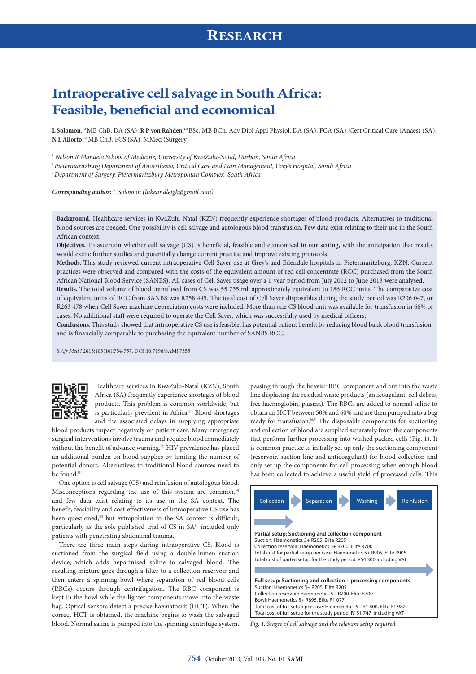# **Intraoperative cell salvage in South Africa: Feasible, beneficial and economical**

**L Solomon**, 1,2 MB ChB, DA (SA); **R P von Rahden**, 1,2 BSc, MB BCh, Adv Dipl Appl Physiol, DA (SA), FCA (SA), Cert Critical Care (Anaes) (SA); **N L Allorto**, 1,3 MB ChB, FCS (SA), MMed (Surgery)

<sup>1</sup> *Nelson R Mandela School of Medicine, University of KwaZulu-Natal, Durban, South Africa*

<sup>2</sup>*Pietermaritzburg Department of Anaesthesia, Critical Care and Pain Management, Grey's Hospital, South Africa* 

<sup>3</sup>*Department of Surgery, Pietermaritzburg Metropolitan Complex, South Africa*

*Corresponding author: L Solomon [\(lukeandleigh@gmail.com\)](mailto:lukeandleigh@gmail.com)*

**Background.** Healthcare services in KwaZulu-Natal (KZN) frequently experience shortages of blood products. Alternatives to traditional blood sources are needed. One possibility is cell salvage and autologous blood transfusion. Few data exist relating to their use in the South African context.

**Objectives.** To ascertain whether cell salvage (CS) is beneficial, feasible and economical in our setting, with the anticipation that results would excite further studies and potentially change current practice and improve existing protocols.

**Methods.** This study reviewed current intraoperative Cell Saver use at Grey's and Edendale hospitals in Pietermaritzburg, KZN. Current practices were observed and compared with the costs of the equivalent amount of red cell concentrate (RCC) purchased from the South African National Blood Service (SANBS). All cases of Cell Saver usage over a 1-year period from July 2012 to June 2013 were analysed.

**Results.** The total volume of blood transfused from CS was 55 735 ml, approximately equivalent to 186 RCC units. The comparative cost of equivalent units of RCC from SANBS was R258 445. The total cost of Cell Saver disposables during the study period was R206 047, or R263 478 when Cell Saver machine depreciation costs were included. More than one CS blood unit was available for transfusion in 66% of cases. No additional staff were required to operate the Cell Saver, which was successfully used by medical officers.

**Conclusions.** This study showed that intraoperative CS use is feasible, has potential patient benefit by reducing blood bank blood transfusion, and is financially comparable to purchasing the equivalent number of SANBS RCC.

*S Afr Med J* 2013;103(10):754-757. DOI:10.7196/SAMJ.7355



Healthcare services in KwaZulu-Natal (KZN), South Africa (SA) frequently experience shortages of blood products. This problem is common worldwide, but is particularly prevalent in Africa.<sup>[1]</sup> Blood shortages and the associated delays in supplying appropriate

blood products impact negatively on patient care. Many emergency surgical interventions involve trauma and require blood immediately without the benefit of advance warning.<sup>[2]</sup> HIV prevalence has placed an additional burden on blood supplies by limiting the number of potential donors. Alternatives to traditional blood sources need to be found.<sup>[3]</sup>

One option is cell salvage (CS) and reinfusion of autologous blood. Misconceptions regarding the use of this system are common,<sup>[4]</sup> and few data exist relating to its use in the SA context. The benefit, feasibility and cost-effectiveness of intraoperative CS use has been questioned,<sup>[5]</sup> but extrapolation to the SA context is difficult, particularly as the sole published trial of CS in  $SA^{[2]}$  included only patients with penetrating abdominal trauma.

There are three main steps during intraoperative CS. Blood is suctioned from the surgical field using a double-lumen suction device, which adds heparinised saline to salvaged blood. The resulting mixture goes through a filter to a collection reservoir and then enters a spinning bowl where separation of red blood cells (RBCs) occurs through centrifugation. The RBC component is kept in the bowl while the lighter components move into the waste bag. Optical sensors detect a precise haematocrit (HCT). When the correct HCT is obtained, the machine begins to wash the salvaged blood. Normal saline is pumped into the spinning centrifuge system,

passing through the heavier RBC component and out into the waste line displacing the residual waste products (anticoagulant, cell debris, free haemoglobin, plasma). The RBCs are added to normal saline to obtain an HCT between 50% and 60% and are then pumped into a bag ready for transfusion.<sup>[6,7]</sup> The disposable components for suctioning and collection of blood are supplied separately from the components that perform further processing into washed packed cells (Fig. 1). It is common practice to initially set up only the suctioning component (reservoir, suction line and anticoagulant) for blood collection and only set up the components for cell processing when enough blood has been collected to achieve a useful yield of processed cells. This



*Fig. 1. Stages of cell salvage and the relevant setup required.*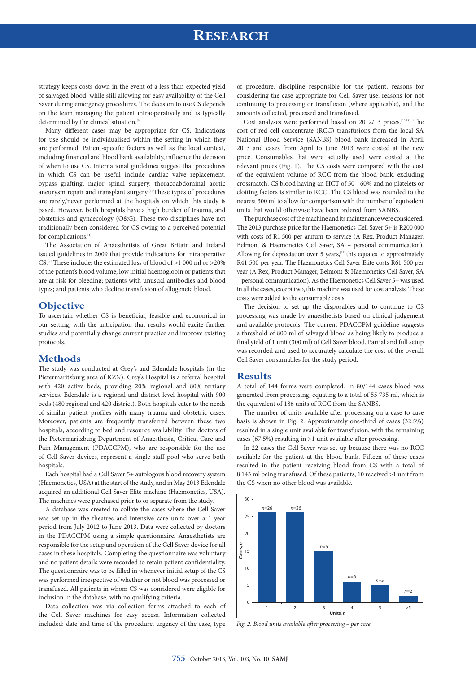## **RESEARCH**

strategy keeps costs down in the event of a less-than-expected yield of salvaged blood, while still allowing for easy availability of the Cell Saver during emergency procedures. The decision to use CS depends on the team managing the patient intraoperatively and is typically determined by the clinical situation.<sup>[8]</sup>

Many different cases may be appropriate for CS. Indications for use should be individualised within the setting in which they are performed. Patient-specific factors as well as the local context, including financial and blood bank availability, influence the decision of when to use CS. International guidelines suggest that procedures in which CS can be useful include cardiac valve replacement, bypass grafting, major spinal surgery, thoracoabdominal aortic aneurysm repair and transplant surgery.<sup>[8]</sup> These types of procedures are rarely/never performed at the hospitals on which this study is based. However, both hospitals have a high burden of trauma, and obstetrics and gynaecology (O&G). These two disciplines have not traditionally been considered for CS owing to a perceived potential for complications.<sup>[4]</sup>

The Association of Anaesthetists of Great Britain and Ireland issued guidelines in 2009 that provide indications for intraoperative CS.[9] These include: the estimated loss of blood of >1 000 ml or >20% of the patient's blood volume; low initial haemoglobin or patients that are at risk for bleeding; patients with unusual antibodies and blood types; and patients who decline transfusion of allogeneic blood.

#### **Objective**

To ascertain whether CS is beneficial, feasible and economical in our setting, with the anticipation that results would excite further studies and potentially change current practice and improve existing protocols.

### **Methods**

The study was conducted at Grey's and Edendale hospitals (in the Pietermaritzburg area of KZN). Grey's Hospital is a referral hospital with 420 active beds, providing 20% regional and 80% tertiary services. Edendale is a regional and district level hospital with 900 beds (480 regional and 420 district). Both hospitals cater to the needs of similar patient profiles with many trauma and obstetric cases. Moreover, patients are frequently transferred between these two hospitals, according to bed and resource availability. The doctors of the Pietermaritzburg Department of Anaesthesia, Critical Care and Pain Management (PDACCPM), who are responsible for the use of Cell Saver devices, represent a single staff pool who serve both hospitals.

Each hospital had a Cell Saver 5+ autologous blood recovery system (Haemonetics, USA) at the start of the study, and in May 2013 Edendale acquired an additional Cell Saver Elite machine (Haemonetics, USA). The machines were purchased prior to or separate from the study.

A database was created to collate the cases where the Cell Saver was set up in the theatres and intensive care units over a 1-year period from July 2012 to June 2013. Data were collected by doctors in the PDACCPM using a simple questionnaire. Anaesthetists are responsible for the setup and operation of the Cell Saver device for all cases in these hospitals. Completing the questionnaire was voluntary and no patient details were recorded to retain patient confidentiality. The questionnaire was to be filled in whenever initial setup of the CS was performed irrespective of whether or not blood was processed or transfused. All patients in whom CS was considered were eligible for inclusion in the database, with no qualifying criteria.

Data collection was via collection forms attached to each of the Cell Saver machines for easy access. Information collected included: date and time of the procedure, urgency of the case, type

of procedure, discipline responsible for the patient, reasons for considering the case appropriate for Cell Saver use, reasons for not continuing to processing or transfusion (where applicable), and the amounts collected, processed and transfused.

Cost analyses were performed based on 2012/13 prices.[10,11] The cost of red cell concentrate (RCC) transfusions from the local SA National Blood Service (SANBS) blood bank increased in April 2013 and cases from April to June 2013 were costed at the new price. Consumables that were actually used were costed at the relevant prices (Fig. 1). The CS costs were compared with the cost of the equivalent volume of RCC from the blood bank, excluding crossmatch. CS blood having an HCT of 50 - 60% and no platelets or clotting factors is similar to RCC. The CS blood was rounded to the nearest 300 ml to allow for comparison with the number of equivalent units that would otherwise have been ordered from SANBS.

The purchase cost of the machine and its maintenance were considered. The 2013 purchase price for the Haemonetics Cell Saver 5+ is R200 000 with costs of R1 500 per annum to service (A Rex, Product Manager, Belmont & Haemonetics Cell Saver, SA – personal communication). Allowing for depreciation over 5 years, $[12]$  this equates to approximately R41 500 per year. The Haemonetics Cell Saver Elite costs R61 500 per year (A Rex, Product Manager, Belmont & Haemonetics Cell Saver, SA – personal communication). As the Haemonetics Cell Saver 5+ was used in all the cases, except two, this machine was used for cost analysis. These costs were added to the consumable costs.

The decision to set up the disposables and to continue to CS processing was made by anaesthetists based on clinical judgement and available protocols. The current PDACCPM guideline suggests a threshold of 800 ml of salvaged blood as being likely to produce a final yield of 1 unit (300 ml) of Cell Saver blood. Partial and full setup was recorded and used to accurately calculate the cost of the overall Cell Saver consumables for the study period.

#### **Results**

A total of 144 forms were completed. In 80/144 cases blood was generated from processing, equating to a total of 55 735 ml, which is the equivalent of 186 units of RCC from the SANBS.

The number of units available after processing on a case-to-case basis is shown in Fig. 2. Approximately one-third of cases (32.5%) resulted in a single unit available for transfusion, with the remaining cases (67.5%) resulting in >1 unit available after processing.

In 22 cases the Cell Saver was set up because there was no RCC available for the patient at the blood bank. Fifteen of these cases resulted in the patient receiving blood from CS with a total of 8 143 ml being transfused. Of these patients, 10 received >1 unit from the CS when no other blood was available.



*Fig. 2. Blood units available after processing – per case.*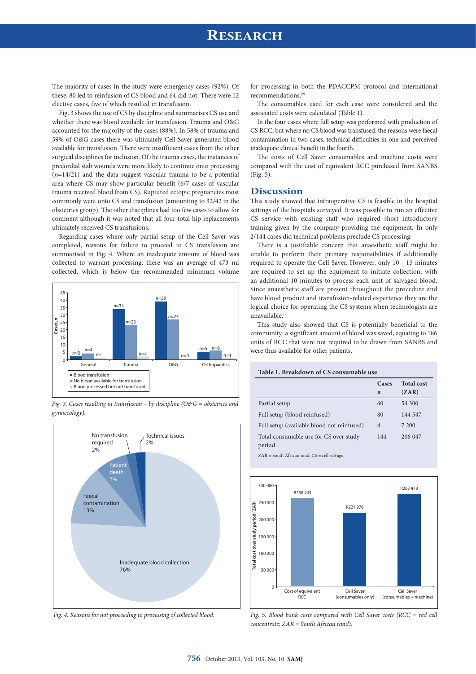### **RESEARCH**

The majority of cases in the study were emergency cases (92%). Of these, 80 led to reinfusion of CS blood and 64 did not. There were 12 elective cases, five of which resulted in transfusion.

Fig. 3 shows the use of CS by discipline and summarises CS use and whether there was blood available for transfusion. Trauma and O&G accounted for the majority of the cases (88%). In 58% of trauma and 59% of O&G cases there was ultimately Cell Saver-generated blood available for transfusion. There were insufficient cases from the other surgical disciplines for inclusion. Of the trauma cases, the instances of precordial stab wounds were more likely to continue onto processing (*n*=14/21) and the data suggest vascular trauma to be a potential area where CS may show particular benefit (6/7 cases of vascular trauma received blood from CS). Ruptured ectopic pregnancies most commonly went onto CS and transfusion (amounting to 32/42 in the obstetrics group). The other disciplines had too few cases to allow for comment although it was noted that all four total hip replacements ultimately received CS transfusions.

Regarding cases where only partial setup of the Cell Saver was completed, reasons for failure to proceed to CS transfusion are summarised in Fig. 4. Where an inadequate amount of blood was collected to warrant processing, there was an average of 473 ml collected, which is below the recommended minimum volume



*Fig. 3. Cases resulting in transfusion – by discipline (O&G = obstetrics and gynaecology).*



*Fig. 4. Reasons for not proceeding to processing of collected blood.*

for processing in both the PDACCPM protocol and international recommendations.[9]

The consumables used for each case were considered and the associated costs were calculated (Table 1).

In the four cases where full setup was performed with production of CS RCC, but where no CS blood was transfused, the reasons were faecal contamination in two cases, technical difficulties in one and perceived inadequate clinical benefit in the fourth.

The costs of Cell Saver consumables and machine costs were compared with the cost of equivalent RCC purchased from SANBS (Fig. 5).

### **Discussion**

This study showed that intraoperative CS is feasible in the hospital settings of the hospitals surveyed. It was possible to run an effective CS service with existing staff who required short introductory training given by the company providing the equipment. In only 2/144 cases did technical problems preclude CS processing.

There is a justifiable concern that anaesthetic staff might be unable to perform their primary responsibilities if additionally required to operate the Cell Saver. However, only 10 - 15 minutes are required to set up the equipment to initiate collection, with an additional 10 minutes to process each unit of salvaged blood. Since anaesthetic staff are present throughout the procedure and have blood product and transfusion-related experience they are the logical choice for operating the CS systems when technologists are unavailable.<sup>[5]</sup>

This study also showed that CS is potentially beneficial to the community: a significant amount of blood was saved, equating to 186 units of RCC that were not required to be drawn from SANBS and were thus available for other patients.

| Table 1. Breakdown of CS consumable use |
|-----------------------------------------|
|-----------------------------------------|

|                                            | Cases            | <b>Total</b> cost |
|--------------------------------------------|------------------|-------------------|
|                                            |                  | (ZAR)             |
|                                            | $\boldsymbol{n}$ |                   |
| Partial setup                              | 60               | 54 300            |
| Full setup (blood reinfused)               | 80               | 144 547           |
| Full setup (available blood not reinfused) | $\overline{4}$   | 7 200             |
| Total consumable use for CS over study     | 144              | 206 047           |
| period                                     |                  |                   |

ZAR = South African rand; CS = cell salvage.



*Fig. 5. Blood bank costs compared with Cell Saver costs (RCC = red cell concentrate; ZAR = South African rand).*